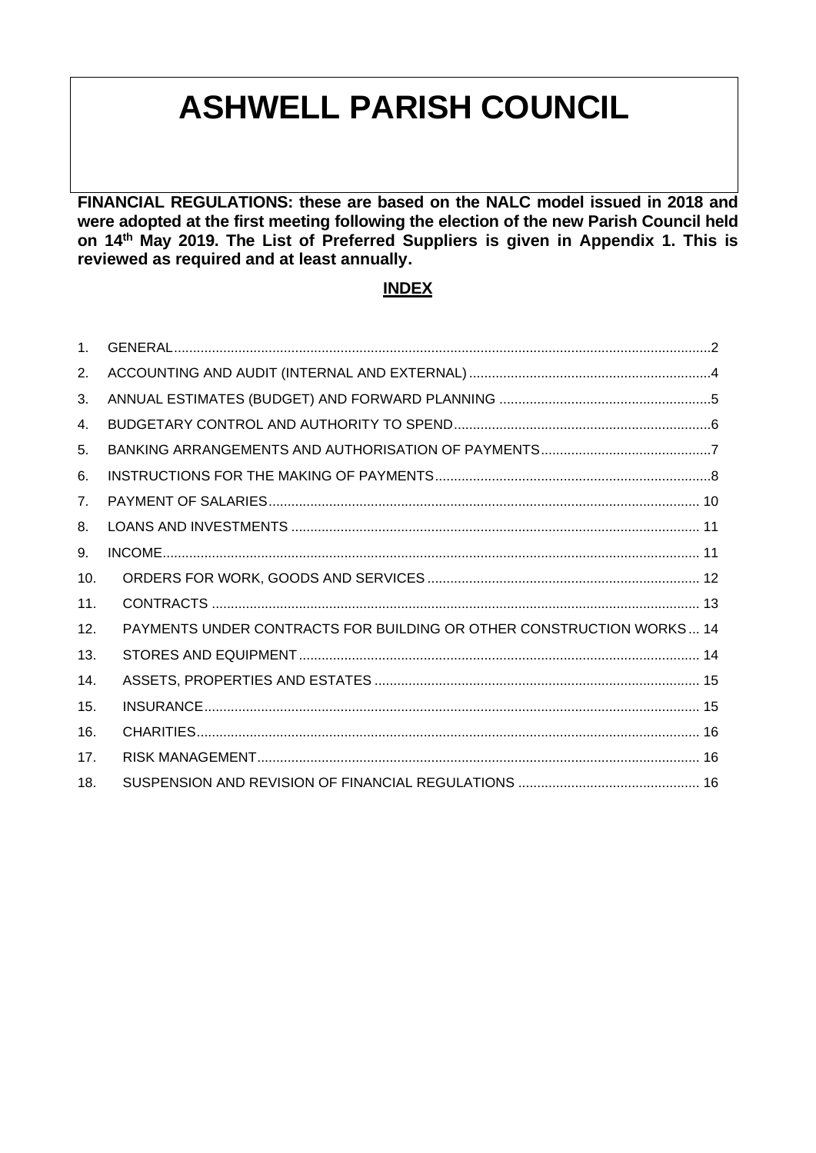# **ASHWELL PARISH COUNCIL**

**FINANCIAL REGULATIONS: these are based on the NALC model issued in 2018 and were adopted at the first meeting following the election of the new Parish Council held on 14th May 2019. The List of Preferred Suppliers is given in Appendix 1. This is reviewed as required and at least annually.**

# **INDEX**

| 1 <sub>1</sub> |                                                                      |
|----------------|----------------------------------------------------------------------|
| 2.             |                                                                      |
| 3.             |                                                                      |
| 4.             |                                                                      |
| 5.             |                                                                      |
| 6.             |                                                                      |
| 7 <sub>1</sub> |                                                                      |
| 8.             |                                                                      |
| 9.             |                                                                      |
| 10.            |                                                                      |
| 11.            |                                                                      |
| 12.            | PAYMENTS UNDER CONTRACTS FOR BUILDING OR OTHER CONSTRUCTION WORKS 14 |
| 13.            |                                                                      |
| 14.            |                                                                      |
| 15.            |                                                                      |
| 16.            |                                                                      |
| 17.            |                                                                      |
| 18.            |                                                                      |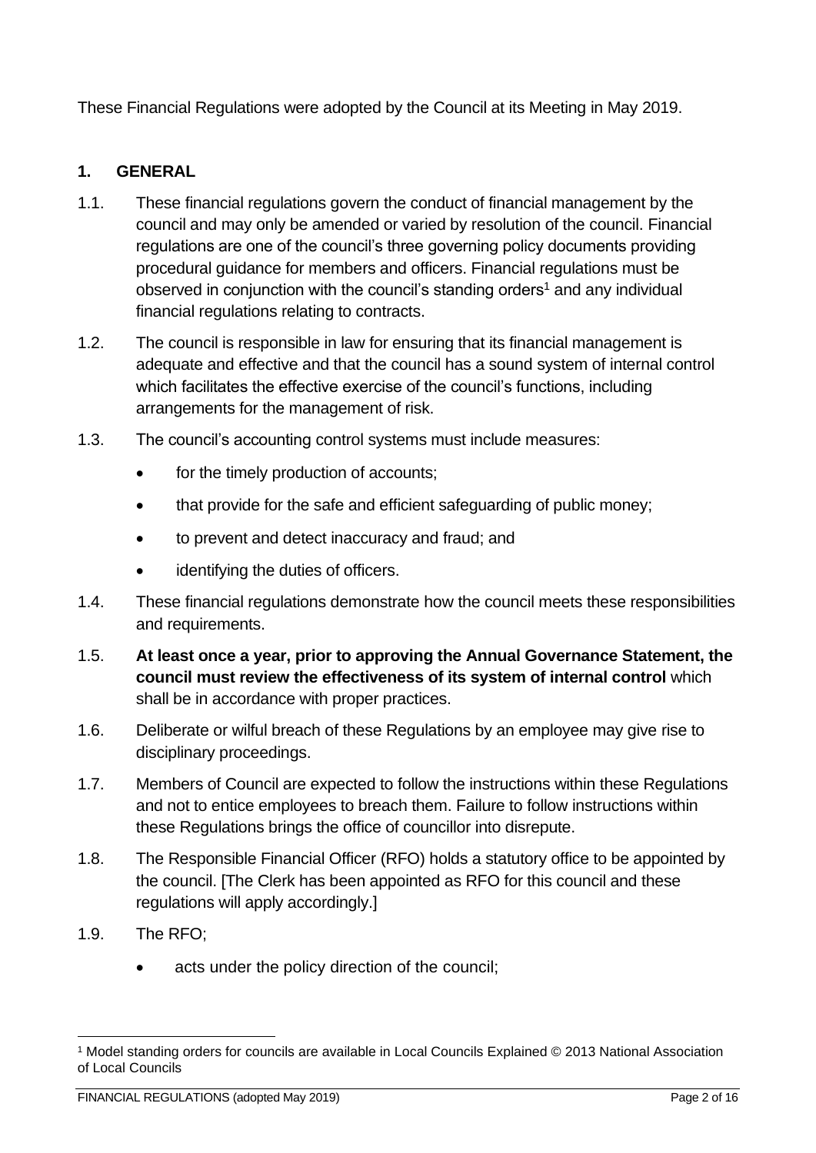These Financial Regulations were adopted by the Council at its Meeting in May 2019.

## <span id="page-1-0"></span>**1. GENERAL**

- 1.1. These financial regulations govern the conduct of financial management by the council and may only be amended or varied by resolution of the council. Financial regulations are one of the council's three governing policy documents providing procedural guidance for members and officers. Financial regulations must be observed in conjunction with the council's standing orders<sup>1</sup> and any individual financial regulations relating to contracts.
- 1.2. The council is responsible in law for ensuring that its financial management is adequate and effective and that the council has a sound system of internal control which facilitates the effective exercise of the council's functions, including arrangements for the management of risk.
- 1.3. The council's accounting control systems must include measures:
	- for the timely production of accounts;
	- that provide for the safe and efficient safeguarding of public money;
	- to prevent and detect inaccuracy and fraud; and
	- identifying the duties of officers.
- 1.4. These financial regulations demonstrate how the council meets these responsibilities and requirements.
- 1.5. **At least once a year, prior to approving the Annual Governance Statement, the council must review the effectiveness of its system of internal control** which shall be in accordance with proper practices.
- 1.6. Deliberate or wilful breach of these Regulations by an employee may give rise to disciplinary proceedings.
- 1.7. Members of Council are expected to follow the instructions within these Regulations and not to entice employees to breach them. Failure to follow instructions within these Regulations brings the office of councillor into disrepute.
- 1.8. The Responsible Financial Officer (RFO) holds a statutory office to be appointed by the council. [The Clerk has been appointed as RFO for this council and these regulations will apply accordingly.]
- 1.9. The RFO;
	- acts under the policy direction of the council;

<sup>1</sup> Model standing orders for councils are available in Local Councils Explained © 2013 National Association of Local Councils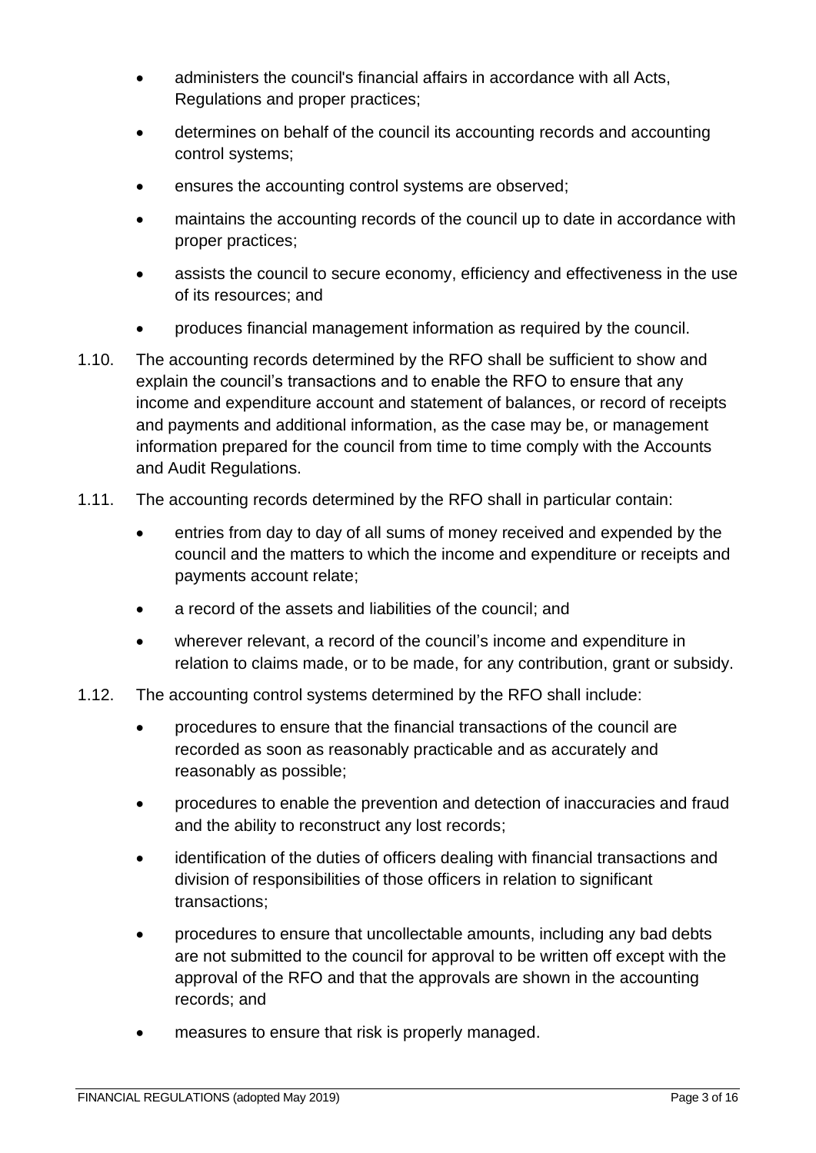- administers the council's financial affairs in accordance with all Acts, Regulations and proper practices;
- determines on behalf of the council its accounting records and accounting control systems;
- ensures the accounting control systems are observed;
- maintains the accounting records of the council up to date in accordance with proper practices;
- assists the council to secure economy, efficiency and effectiveness in the use of its resources; and
- produces financial management information as required by the council.
- 1.10. The accounting records determined by the RFO shall be sufficient to show and explain the council's transactions and to enable the RFO to ensure that any income and expenditure account and statement of balances, or record of receipts and payments and additional information, as the case may be, or management information prepared for the council from time to time comply with the Accounts and Audit Regulations.
- 1.11. The accounting records determined by the RFO shall in particular contain:
	- entries from day to day of all sums of money received and expended by the council and the matters to which the income and expenditure or receipts and payments account relate;
	- a record of the assets and liabilities of the council; and
	- wherever relevant, a record of the council's income and expenditure in relation to claims made, or to be made, for any contribution, grant or subsidy.
- 1.12. The accounting control systems determined by the RFO shall include:
	- procedures to ensure that the financial transactions of the council are recorded as soon as reasonably practicable and as accurately and reasonably as possible;
	- procedures to enable the prevention and detection of inaccuracies and fraud and the ability to reconstruct any lost records;
	- identification of the duties of officers dealing with financial transactions and division of responsibilities of those officers in relation to significant transactions;
	- procedures to ensure that uncollectable amounts, including any bad debts are not submitted to the council for approval to be written off except with the approval of the RFO and that the approvals are shown in the accounting records; and
	- measures to ensure that risk is properly managed.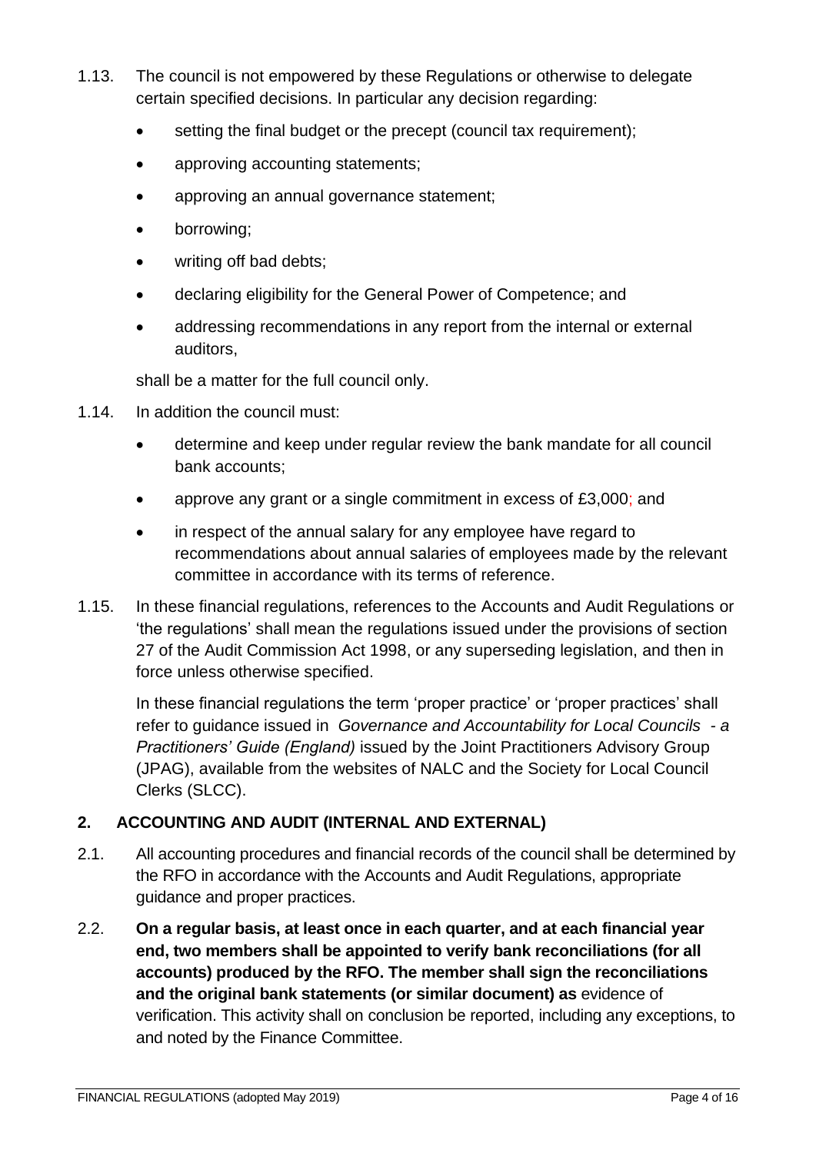- 1.13. The council is not empowered by these Regulations or otherwise to delegate certain specified decisions. In particular any decision regarding:
	- setting the final budget or the precept (council tax requirement);
	- approving accounting statements;
	- approving an annual governance statement;
	- borrowing;
	- writing off bad debts;
	- declaring eligibility for the General Power of Competence; and
	- addressing recommendations in any report from the internal or external auditors,

shall be a matter for the full council only.

- 1.14. In addition the council must:
	- determine and keep under regular review the bank mandate for all council bank accounts;
	- approve any grant or a single commitment in excess of £3,000; and
	- in respect of the annual salary for any employee have regard to recommendations about annual salaries of employees made by the relevant committee in accordance with its terms of reference.
- 1.15. In these financial regulations, references to the Accounts and Audit Regulations or 'the regulations' shall mean the regulations issued under the provisions of section 27 of the Audit Commission Act 1998, or any superseding legislation, and then in force unless otherwise specified.

In these financial regulations the term 'proper practice' or 'proper practices' shall refer to guidance issued in *Governance and Accountability for Local Councils - a Practitioners' Guide (England)* issued by the Joint Practitioners Advisory Group (JPAG), available from the websites of NALC and the Society for Local Council Clerks (SLCC).

## <span id="page-3-0"></span>**2. ACCOUNTING AND AUDIT (INTERNAL AND EXTERNAL)**

- 2.1. All accounting procedures and financial records of the council shall be determined by the RFO in accordance with the Accounts and Audit Regulations, appropriate guidance and proper practices.
- 2.2. **On a regular basis, at least once in each quarter, and at each financial year end, two members shall be appointed to verify bank reconciliations (for all accounts) produced by the RFO. The member shall sign the reconciliations and the original bank statements (or similar document) as** evidence of verification. This activity shall on conclusion be reported, including any exceptions, to and noted by the Finance Committee.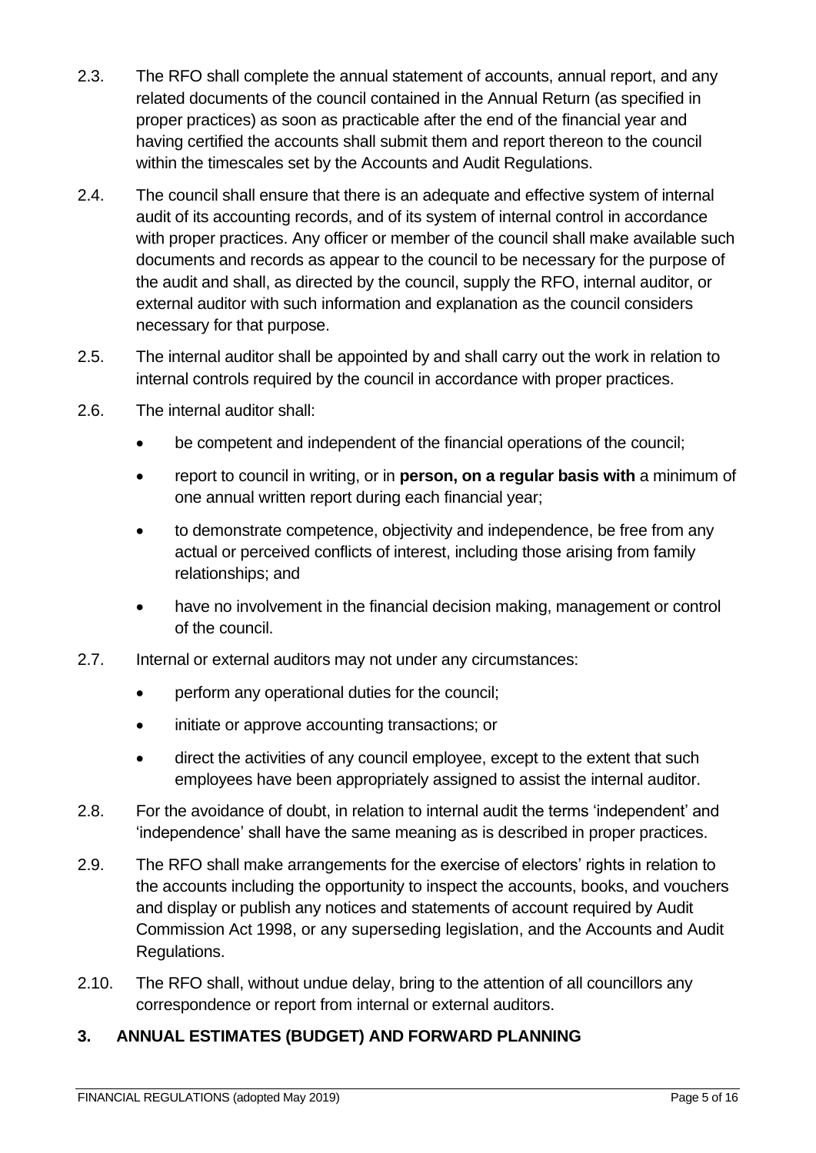- 2.3. The RFO shall complete the annual statement of accounts, annual report, and any related documents of the council contained in the Annual Return (as specified in proper practices) as soon as practicable after the end of the financial year and having certified the accounts shall submit them and report thereon to the council within the timescales set by the Accounts and Audit Regulations.
- 2.4. The council shall ensure that there is an adequate and effective system of internal audit of its accounting records, and of its system of internal control in accordance with proper practices. Any officer or member of the council shall make available such documents and records as appear to the council to be necessary for the purpose of the audit and shall, as directed by the council, supply the RFO, internal auditor, or external auditor with such information and explanation as the council considers necessary for that purpose.
- 2.5. The internal auditor shall be appointed by and shall carry out the work in relation to internal controls required by the council in accordance with proper practices.
- 2.6. The internal auditor shall:
	- be competent and independent of the financial operations of the council;
	- report to council in writing, or in **person, on a regular basis with** a minimum of one annual written report during each financial year;
	- to demonstrate competence, objectivity and independence, be free from any actual or perceived conflicts of interest, including those arising from family relationships; and
	- have no involvement in the financial decision making, management or control of the council.
- 2.7. Internal or external auditors may not under any circumstances:
	- perform any operational duties for the council;
	- initiate or approve accounting transactions; or
	- direct the activities of any council employee, except to the extent that such employees have been appropriately assigned to assist the internal auditor.
- 2.8. For the avoidance of doubt, in relation to internal audit the terms 'independent' and 'independence' shall have the same meaning as is described in proper practices.
- 2.9. The RFO shall make arrangements for the exercise of electors' rights in relation to the accounts including the opportunity to inspect the accounts, books, and vouchers and display or publish any notices and statements of account required by Audit Commission Act 1998, or any superseding legislation, and the Accounts and Audit Regulations.
- 2.10. The RFO shall, without undue delay, bring to the attention of all councillors any correspondence or report from internal or external auditors.

## <span id="page-4-0"></span>**3. ANNUAL ESTIMATES (BUDGET) AND FORWARD PLANNING**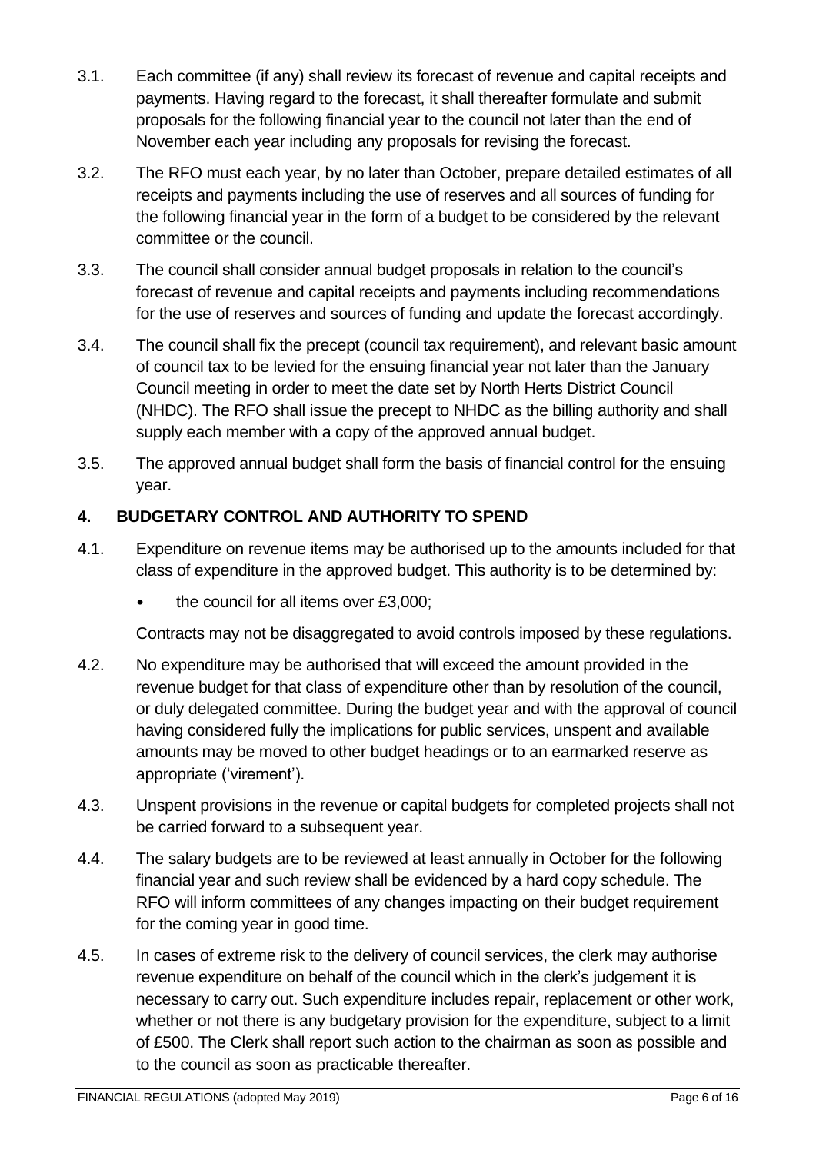- 3.1. Each committee (if any) shall review its forecast of revenue and capital receipts and payments. Having regard to the forecast, it shall thereafter formulate and submit proposals for the following financial year to the council not later than the end of November each year including any proposals for revising the forecast.
- 3.2. The RFO must each year, by no later than October, prepare detailed estimates of all receipts and payments including the use of reserves and all sources of funding for the following financial year in the form of a budget to be considered by the relevant committee or the council.
- 3.3. The council shall consider annual budget proposals in relation to the council's forecast of revenue and capital receipts and payments including recommendations for the use of reserves and sources of funding and update the forecast accordingly.
- 3.4. The council shall fix the precept (council tax requirement), and relevant basic amount of council tax to be levied for the ensuing financial year not later than the January Council meeting in order to meet the date set by North Herts District Council (NHDC). The RFO shall issue the precept to NHDC as the billing authority and shall supply each member with a copy of the approved annual budget.
- 3.5. The approved annual budget shall form the basis of financial control for the ensuing year.

# <span id="page-5-0"></span>**4. BUDGETARY CONTROL AND AUTHORITY TO SPEND**

- 4.1. Expenditure on revenue items may be authorised up to the amounts included for that class of expenditure in the approved budget. This authority is to be determined by:
	- the council for all items over £3,000;

Contracts may not be disaggregated to avoid controls imposed by these regulations.

- 4.2. No expenditure may be authorised that will exceed the amount provided in the revenue budget for that class of expenditure other than by resolution of the council, or duly delegated committee. During the budget year and with the approval of council having considered fully the implications for public services, unspent and available amounts may be moved to other budget headings or to an earmarked reserve as appropriate ('virement').
- 4.3. Unspent provisions in the revenue or capital budgets for completed projects shall not be carried forward to a subsequent year.
- 4.4. The salary budgets are to be reviewed at least annually in October for the following financial year and such review shall be evidenced by a hard copy schedule. The RFO will inform committees of any changes impacting on their budget requirement for the coming year in good time.
- 4.5. In cases of extreme risk to the delivery of council services, the clerk may authorise revenue expenditure on behalf of the council which in the clerk's judgement it is necessary to carry out. Such expenditure includes repair, replacement or other work, whether or not there is any budgetary provision for the expenditure, subject to a limit of £500. The Clerk shall report such action to the chairman as soon as possible and to the council as soon as practicable thereafter.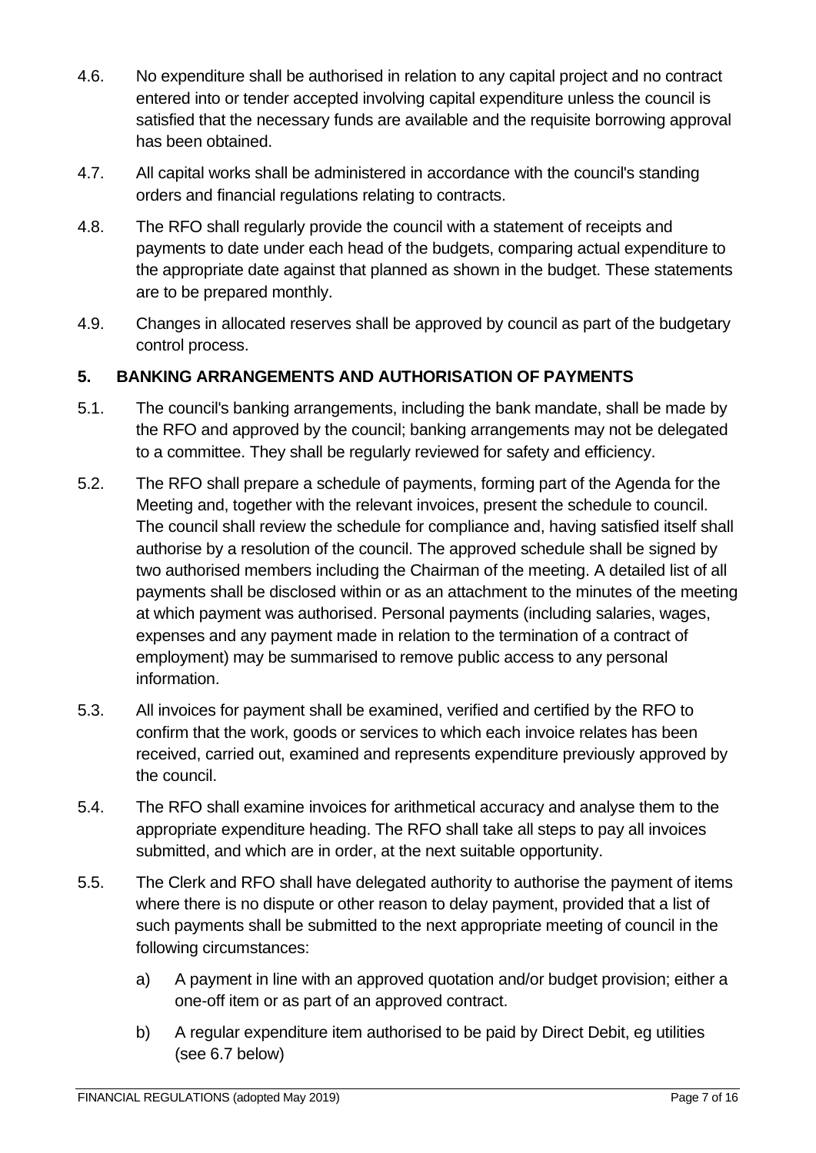- 4.6. No expenditure shall be authorised in relation to any capital project and no contract entered into or tender accepted involving capital expenditure unless the council is satisfied that the necessary funds are available and the requisite borrowing approval has been obtained.
- 4.7. All capital works shall be administered in accordance with the council's standing orders and financial regulations relating to contracts.
- 4.8. The RFO shall regularly provide the council with a statement of receipts and payments to date under each head of the budgets, comparing actual expenditure to the appropriate date against that planned as shown in the budget. These statements are to be prepared monthly.
- 4.9. Changes in allocated reserves shall be approved by council as part of the budgetary control process.

## <span id="page-6-0"></span>**5. BANKING ARRANGEMENTS AND AUTHORISATION OF PAYMENTS**

- 5.1. The council's banking arrangements, including the bank mandate, shall be made by the RFO and approved by the council; banking arrangements may not be delegated to a committee. They shall be regularly reviewed for safety and efficiency.
- 5.2. The RFO shall prepare a schedule of payments, forming part of the Agenda for the Meeting and, together with the relevant invoices, present the schedule to council. The council shall review the schedule for compliance and, having satisfied itself shall authorise by a resolution of the council. The approved schedule shall be signed by two authorised members including the Chairman of the meeting. A detailed list of all payments shall be disclosed within or as an attachment to the minutes of the meeting at which payment was authorised. Personal payments (including salaries, wages, expenses and any payment made in relation to the termination of a contract of employment) may be summarised to remove public access to any personal information.
- 5.3. All invoices for payment shall be examined, verified and certified by the RFO to confirm that the work, goods or services to which each invoice relates has been received, carried out, examined and represents expenditure previously approved by the council.
- 5.4. The RFO shall examine invoices for arithmetical accuracy and analyse them to the appropriate expenditure heading. The RFO shall take all steps to pay all invoices submitted, and which are in order, at the next suitable opportunity.
- 5.5. The Clerk and RFO shall have delegated authority to authorise the payment of items where there is no dispute or other reason to delay payment, provided that a list of such payments shall be submitted to the next appropriate meeting of council in the following circumstances:
	- a) A payment in line with an approved quotation and/or budget provision; either a one-off item or as part of an approved contract.
	- b) A regular expenditure item authorised to be paid by Direct Debit, eg utilities (see 6.7 below)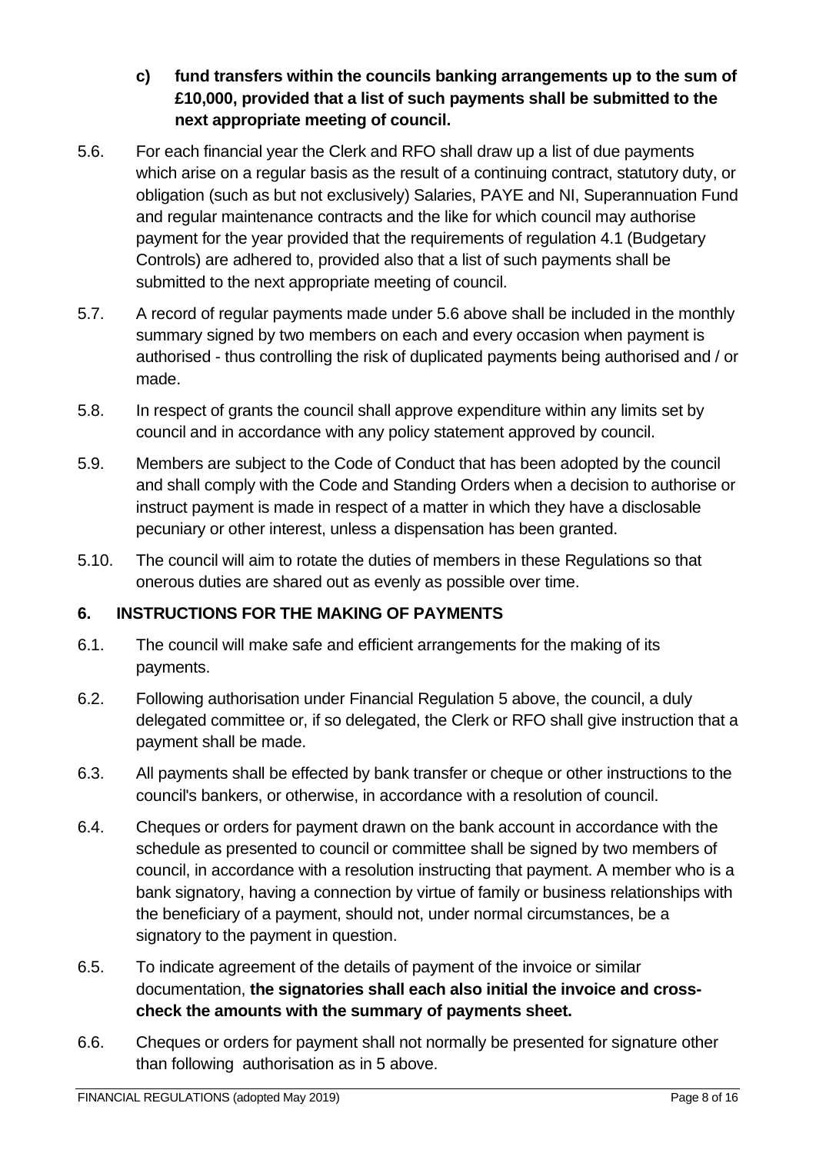## **c) fund transfers within the councils banking arrangements up to the sum of £10,000, provided that a list of such payments shall be submitted to the next appropriate meeting of council.**

- 5.6. For each financial year the Clerk and RFO shall draw up a list of due payments which arise on a regular basis as the result of a continuing contract, statutory duty, or obligation (such as but not exclusively) Salaries, PAYE and NI, Superannuation Fund and regular maintenance contracts and the like for which council may authorise payment for the year provided that the requirements of regulation 4.1 (Budgetary Controls) are adhered to, provided also that a list of such payments shall be submitted to the next appropriate meeting of council.
- 5.7. A record of regular payments made under 5.6 above shall be included in the monthly summary signed by two members on each and every occasion when payment is authorised - thus controlling the risk of duplicated payments being authorised and / or made.
- 5.8. In respect of grants the council shall approve expenditure within any limits set by council and in accordance with any policy statement approved by council.
- 5.9. Members are subject to the Code of Conduct that has been adopted by the council and shall comply with the Code and Standing Orders when a decision to authorise or instruct payment is made in respect of a matter in which they have a disclosable pecuniary or other interest, unless a dispensation has been granted.
- 5.10. The council will aim to rotate the duties of members in these Regulations so that onerous duties are shared out as evenly as possible over time.

## <span id="page-7-0"></span>**6. INSTRUCTIONS FOR THE MAKING OF PAYMENTS**

- 6.1. The council will make safe and efficient arrangements for the making of its payments.
- 6.2. Following authorisation under Financial Regulation 5 above, the council, a duly delegated committee or, if so delegated, the Clerk or RFO shall give instruction that a payment shall be made.
- 6.3. All payments shall be effected by bank transfer or cheque or other instructions to the council's bankers, or otherwise, in accordance with a resolution of council.
- 6.4. Cheques or orders for payment drawn on the bank account in accordance with the schedule as presented to council or committee shall be signed by two members of council, in accordance with a resolution instructing that payment. A member who is a bank signatory, having a connection by virtue of family or business relationships with the beneficiary of a payment, should not, under normal circumstances, be a signatory to the payment in question.
- 6.5. To indicate agreement of the details of payment of the invoice or similar documentation, **the signatories shall each also initial the invoice and crosscheck the amounts with the summary of payments sheet.**
- 6.6. Cheques or orders for payment shall not normally be presented for signature other than following authorisation as in 5 above.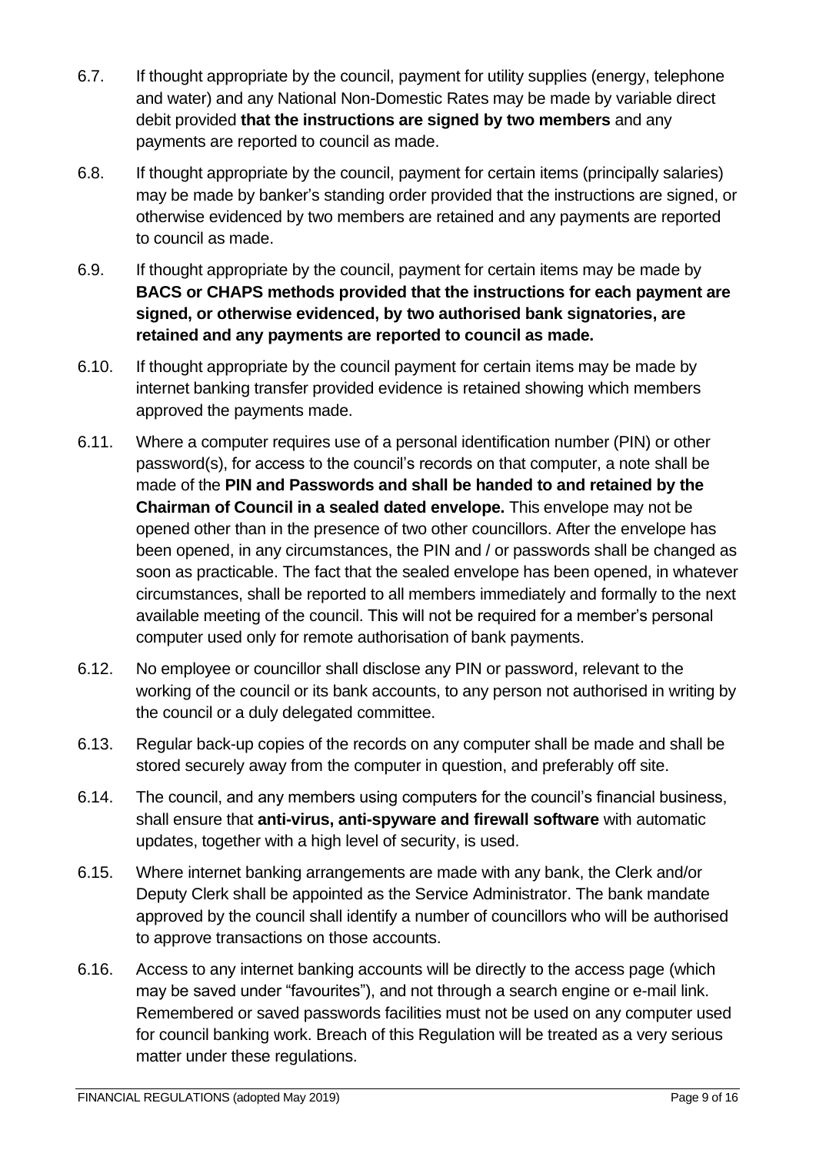- 6.7. If thought appropriate by the council, payment for utility supplies (energy, telephone and water) and any National Non-Domestic Rates may be made by variable direct debit provided **that the instructions are signed by two members** and any payments are reported to council as made.
- 6.8. If thought appropriate by the council, payment for certain items (principally salaries) may be made by banker's standing order provided that the instructions are signed, or otherwise evidenced by two members are retained and any payments are reported to council as made.
- 6.9. If thought appropriate by the council, payment for certain items may be made by **BACS or CHAPS methods provided that the instructions for each payment are signed, or otherwise evidenced, by two authorised bank signatories, are retained and any payments are reported to council as made.**
- 6.10. If thought appropriate by the council payment for certain items may be made by internet banking transfer provided evidence is retained showing which members approved the payments made.
- 6.11. Where a computer requires use of a personal identification number (PIN) or other password(s), for access to the council's records on that computer, a note shall be made of the **PIN and Passwords and shall be handed to and retained by the Chairman of Council in a sealed dated envelope.** This envelope may not be opened other than in the presence of two other councillors. After the envelope has been opened, in any circumstances, the PIN and / or passwords shall be changed as soon as practicable. The fact that the sealed envelope has been opened, in whatever circumstances, shall be reported to all members immediately and formally to the next available meeting of the council. This will not be required for a member's personal computer used only for remote authorisation of bank payments.
- 6.12. No employee or councillor shall disclose any PIN or password, relevant to the working of the council or its bank accounts, to any person not authorised in writing by the council or a duly delegated committee.
- 6.13. Regular back-up copies of the records on any computer shall be made and shall be stored securely away from the computer in question, and preferably off site.
- 6.14. The council, and any members using computers for the council's financial business, shall ensure that **anti-virus, anti-spyware and firewall software** with automatic updates, together with a high level of security, is used.
- 6.15. Where internet banking arrangements are made with any bank, the Clerk and/or Deputy Clerk shall be appointed as the Service Administrator. The bank mandate approved by the council shall identify a number of councillors who will be authorised to approve transactions on those accounts.
- 6.16. Access to any internet banking accounts will be directly to the access page (which may be saved under "favourites"), and not through a search engine or e-mail link. Remembered or saved passwords facilities must not be used on any computer used for council banking work. Breach of this Regulation will be treated as a very serious matter under these regulations.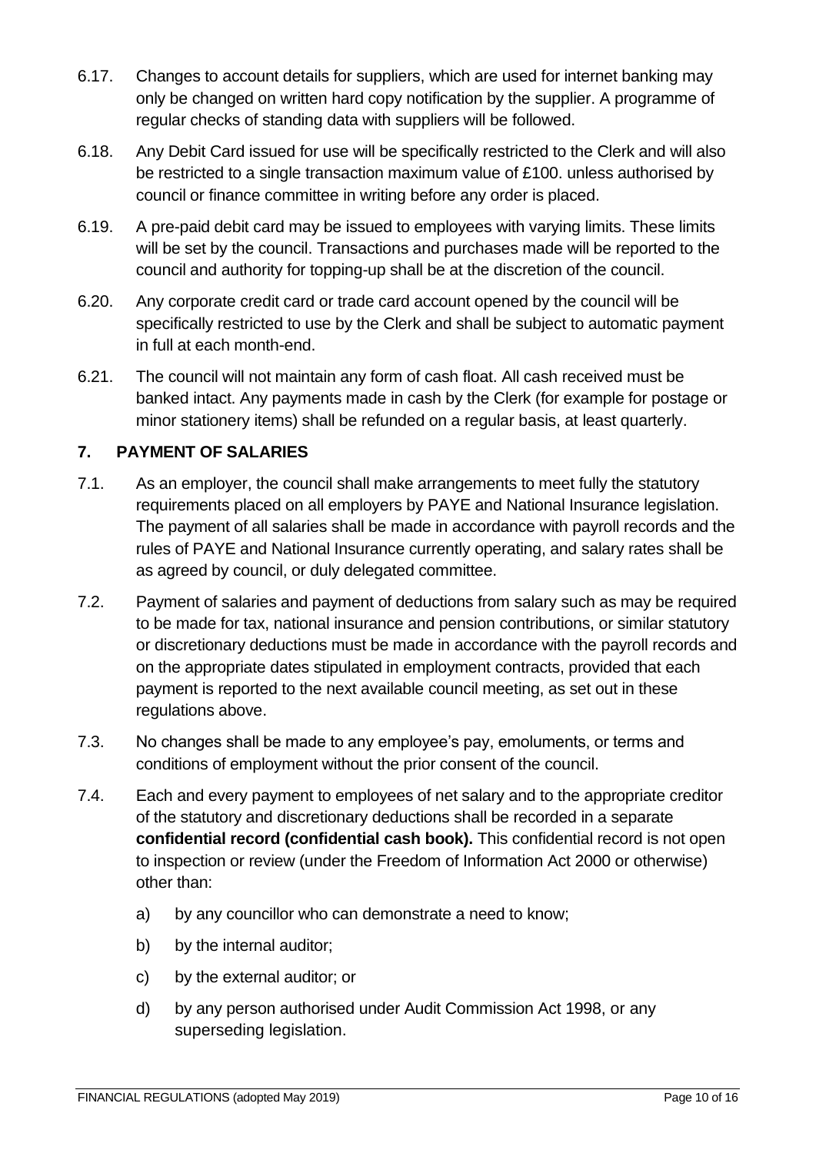- 6.17. Changes to account details for suppliers, which are used for internet banking may only be changed on written hard copy notification by the supplier. A programme of regular checks of standing data with suppliers will be followed.
- 6.18. Any Debit Card issued for use will be specifically restricted to the Clerk and will also be restricted to a single transaction maximum value of £100. unless authorised by council or finance committee in writing before any order is placed.
- 6.19. A pre-paid debit card may be issued to employees with varying limits. These limits will be set by the council. Transactions and purchases made will be reported to the council and authority for topping-up shall be at the discretion of the council.
- 6.20. Any corporate credit card or trade card account opened by the council will be specifically restricted to use by the Clerk and shall be subject to automatic payment in full at each month-end.
- 6.21. The council will not maintain any form of cash float. All cash received must be banked intact. Any payments made in cash by the Clerk (for example for postage or minor stationery items) shall be refunded on a regular basis, at least quarterly.

## <span id="page-9-0"></span>**7. PAYMENT OF SALARIES**

- 7.1. As an employer, the council shall make arrangements to meet fully the statutory requirements placed on all employers by PAYE and National Insurance legislation. The payment of all salaries shall be made in accordance with payroll records and the rules of PAYE and National Insurance currently operating, and salary rates shall be as agreed by council, or duly delegated committee.
- 7.2. Payment of salaries and payment of deductions from salary such as may be required to be made for tax, national insurance and pension contributions, or similar statutory or discretionary deductions must be made in accordance with the payroll records and on the appropriate dates stipulated in employment contracts, provided that each payment is reported to the next available council meeting, as set out in these regulations above.
- 7.3. No changes shall be made to any employee's pay, emoluments, or terms and conditions of employment without the prior consent of the council.
- 7.4. Each and every payment to employees of net salary and to the appropriate creditor of the statutory and discretionary deductions shall be recorded in a separate **confidential record (confidential cash book).** This confidential record is not open to inspection or review (under the Freedom of Information Act 2000 or otherwise) other than:
	- a) by any councillor who can demonstrate a need to know;
	- b) by the internal auditor;
	- c) by the external auditor; or
	- d) by any person authorised under Audit Commission Act 1998, or any superseding legislation.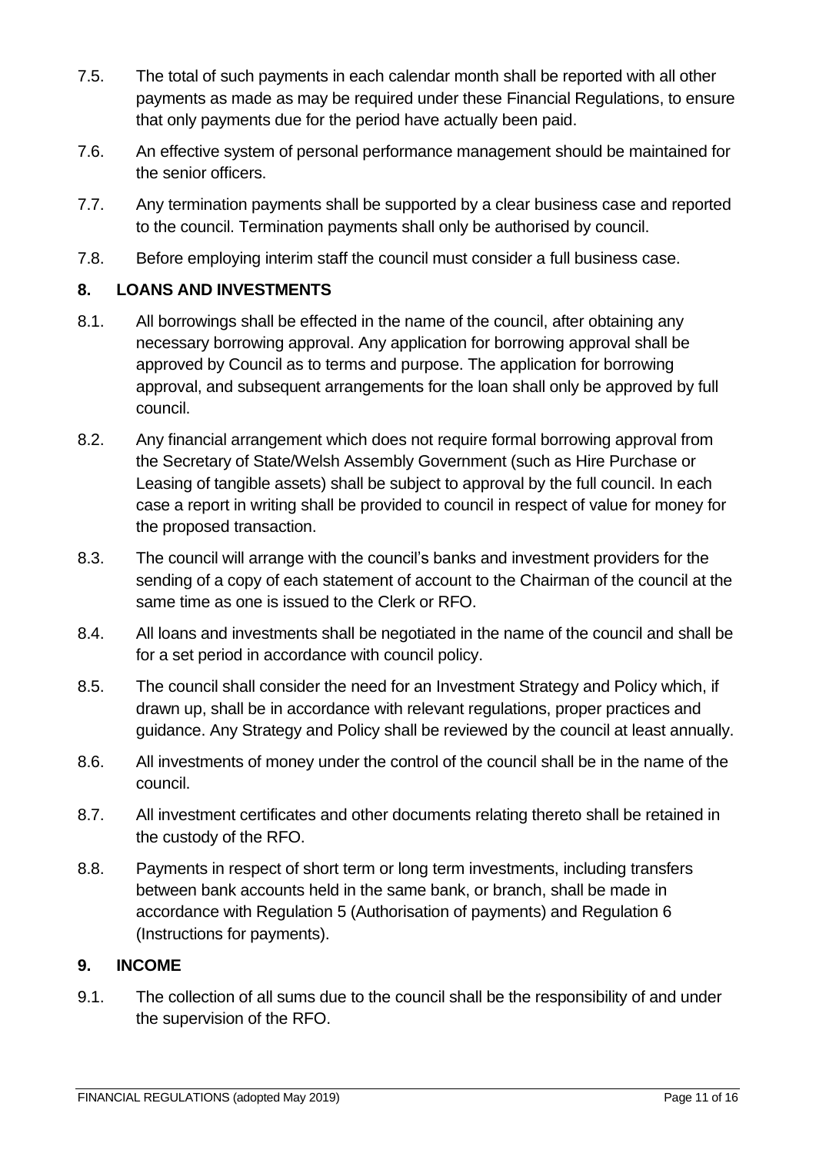- 7.5. The total of such payments in each calendar month shall be reported with all other payments as made as may be required under these Financial Regulations, to ensure that only payments due for the period have actually been paid.
- 7.6. An effective system of personal performance management should be maintained for the senior officers.
- 7.7. Any termination payments shall be supported by a clear business case and reported to the council. Termination payments shall only be authorised by council.
- 7.8. Before employing interim staff the council must consider a full business case.

## <span id="page-10-0"></span>**8. LOANS AND INVESTMENTS**

- 8.1. All borrowings shall be effected in the name of the council, after obtaining any necessary borrowing approval. Any application for borrowing approval shall be approved by Council as to terms and purpose. The application for borrowing approval, and subsequent arrangements for the loan shall only be approved by full council.
- 8.2. Any financial arrangement which does not require formal borrowing approval from the Secretary of State/Welsh Assembly Government (such as Hire Purchase or Leasing of tangible assets) shall be subject to approval by the full council. In each case a report in writing shall be provided to council in respect of value for money for the proposed transaction.
- 8.3. The council will arrange with the council's banks and investment providers for the sending of a copy of each statement of account to the Chairman of the council at the same time as one is issued to the Clerk or RFO.
- 8.4. All loans and investments shall be negotiated in the name of the council and shall be for a set period in accordance with council policy.
- 8.5. The council shall consider the need for an Investment Strategy and Policy which, if drawn up, shall be in accordance with relevant regulations, proper practices and guidance. Any Strategy and Policy shall be reviewed by the council at least annually.
- 8.6. All investments of money under the control of the council shall be in the name of the council.
- 8.7. All investment certificates and other documents relating thereto shall be retained in the custody of the RFO.
- 8.8. Payments in respect of short term or long term investments, including transfers between bank accounts held in the same bank, or branch, shall be made in accordance with Regulation 5 (Authorisation of payments) and Regulation 6 (Instructions for payments).

#### <span id="page-10-1"></span>**9. INCOME**

9.1. The collection of all sums due to the council shall be the responsibility of and under the supervision of the RFO.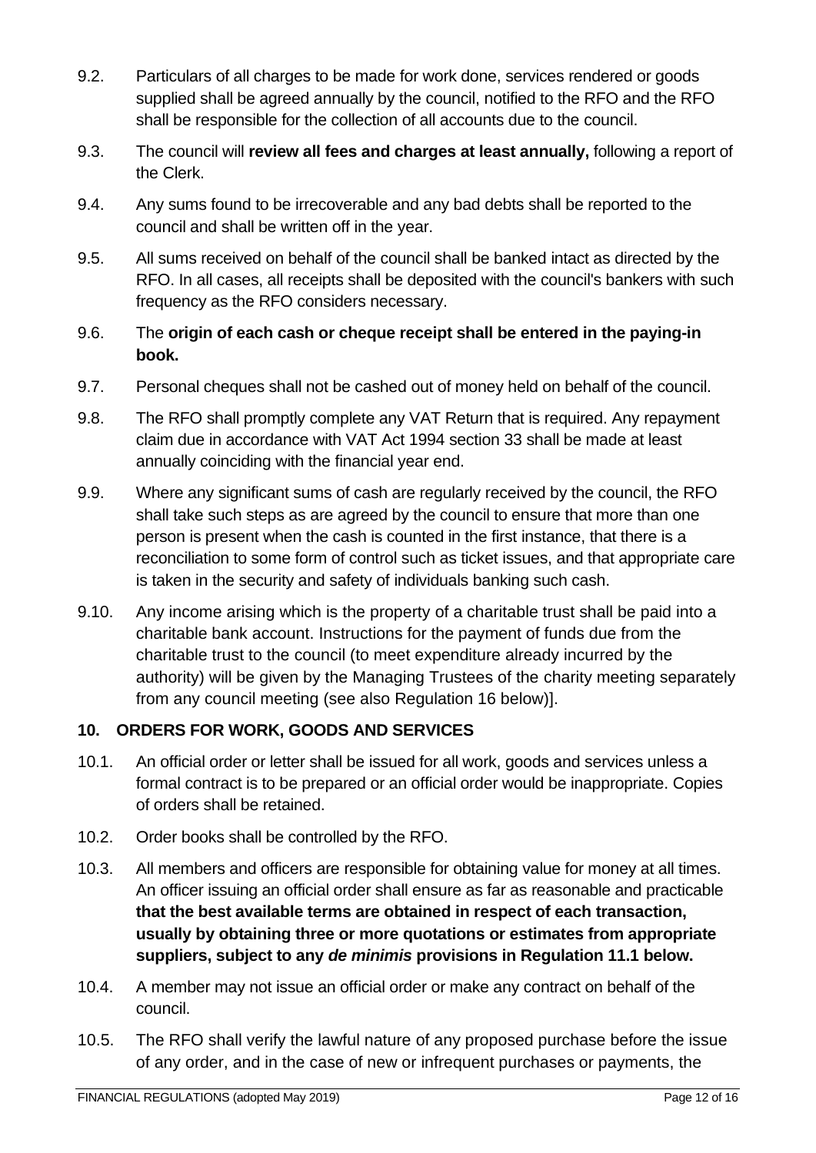- 9.2. Particulars of all charges to be made for work done, services rendered or goods supplied shall be agreed annually by the council, notified to the RFO and the RFO shall be responsible for the collection of all accounts due to the council.
- 9.3. The council will **review all fees and charges at least annually,** following a report of the Clerk.
- 9.4. Any sums found to be irrecoverable and any bad debts shall be reported to the council and shall be written off in the year.
- 9.5. All sums received on behalf of the council shall be banked intact as directed by the RFO. In all cases, all receipts shall be deposited with the council's bankers with such frequency as the RFO considers necessary.
- 9.6. The **origin of each cash or cheque receipt shall be entered in the paying-in book.**
- 9.7. Personal cheques shall not be cashed out of money held on behalf of the council.
- 9.8. The RFO shall promptly complete any VAT Return that is required. Any repayment claim due in accordance with VAT Act 1994 section 33 shall be made at least annually coinciding with the financial year end.
- 9.9. Where any significant sums of cash are regularly received by the council, the RFO shall take such steps as are agreed by the council to ensure that more than one person is present when the cash is counted in the first instance, that there is a reconciliation to some form of control such as ticket issues, and that appropriate care is taken in the security and safety of individuals banking such cash.
- 9.10. Any income arising which is the property of a charitable trust shall be paid into a charitable bank account. Instructions for the payment of funds due from the charitable trust to the council (to meet expenditure already incurred by the authority) will be given by the Managing Trustees of the charity meeting separately from any council meeting (see also Regulation 16 below)].

# <span id="page-11-0"></span>**10. ORDERS FOR WORK, GOODS AND SERVICES**

- 10.1. An official order or letter shall be issued for all work, goods and services unless a formal contract is to be prepared or an official order would be inappropriate. Copies of orders shall be retained.
- 10.2. Order books shall be controlled by the RFO.
- 10.3. All members and officers are responsible for obtaining value for money at all times. An officer issuing an official order shall ensure as far as reasonable and practicable **that the best available terms are obtained in respect of each transaction, usually by obtaining three or more quotations or estimates from appropriate suppliers, subject to any** *de minimis* **provisions in Regulation 11.1 below.**
- 10.4. A member may not issue an official order or make any contract on behalf of the council.
- 10.5. The RFO shall verify the lawful nature of any proposed purchase before the issue of any order, and in the case of new or infrequent purchases or payments, the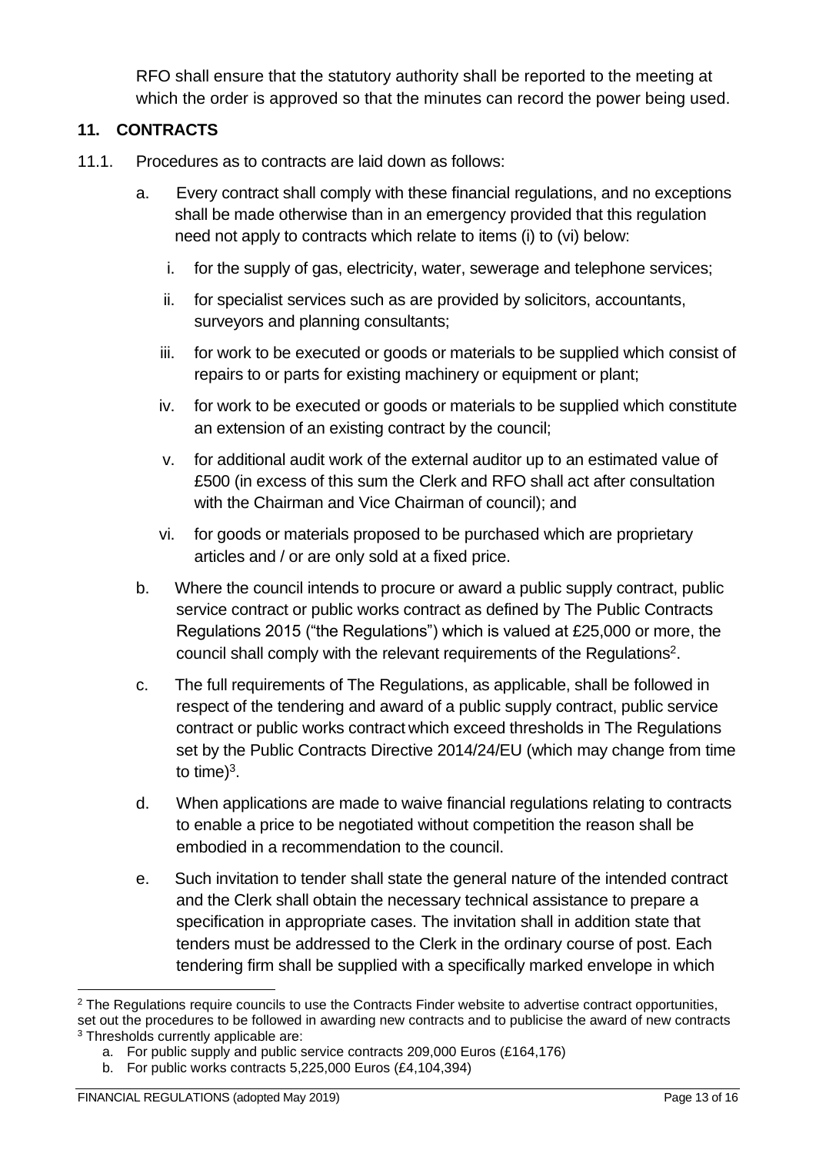RFO shall ensure that the statutory authority shall be reported to the meeting at which the order is approved so that the minutes can record the power being used.

## <span id="page-12-0"></span>**11. CONTRACTS**

- 11.1. Procedures as to contracts are laid down as follows:
	- a. Every contract shall comply with these financial regulations, and no exceptions shall be made otherwise than in an emergency provided that this regulation need not apply to contracts which relate to items (i) to (vi) below:
		- i. for the supply of gas, electricity, water, sewerage and telephone services;
		- ii. for specialist services such as are provided by solicitors, accountants, surveyors and planning consultants;
		- iii. for work to be executed or goods or materials to be supplied which consist of repairs to or parts for existing machinery or equipment or plant;
		- iv. for work to be executed or goods or materials to be supplied which constitute an extension of an existing contract by the council;
		- v. for additional audit work of the external auditor up to an estimated value of £500 (in excess of this sum the Clerk and RFO shall act after consultation with the Chairman and Vice Chairman of council); and
		- vi. for goods or materials proposed to be purchased which are proprietary articles and / or are only sold at a fixed price.
	- b. Where the council intends to procure or award a public supply contract, public service contract or public works contract as defined by The Public Contracts Regulations 2015 ("the Regulations") which is valued at £25,000 or more, the council shall comply with the relevant requirements of the Regulations<sup>2</sup>.
	- c. The full requirements of The Regulations, as applicable, shall be followed in respect of the tendering and award of a public supply contract, public service contract or public works contract which exceed thresholds in The Regulations set by the Public Contracts Directive 2014/24/EU (which may change from time to time) $3$ .
	- d. When applications are made to waive financial regulations relating to contracts to enable a price to be negotiated without competition the reason shall be embodied in a recommendation to the council.
	- e. Such invitation to tender shall state the general nature of the intended contract and the Clerk shall obtain the necessary technical assistance to prepare a specification in appropriate cases. The invitation shall in addition state that tenders must be addressed to the Clerk in the ordinary course of post. Each tendering firm shall be supplied with a specifically marked envelope in which

<sup>&</sup>lt;sup>2</sup> The Regulations require councils to use the Contracts Finder website to advertise contract opportunities, set out the procedures to be followed in awarding new contracts and to publicise the award of new contracts <sup>3</sup> Thresholds currently applicable are:

a. For public supply and public service contracts 209,000 Euros (£164,176)

b. For public works contracts 5,225,000 Euros (£4,104,394)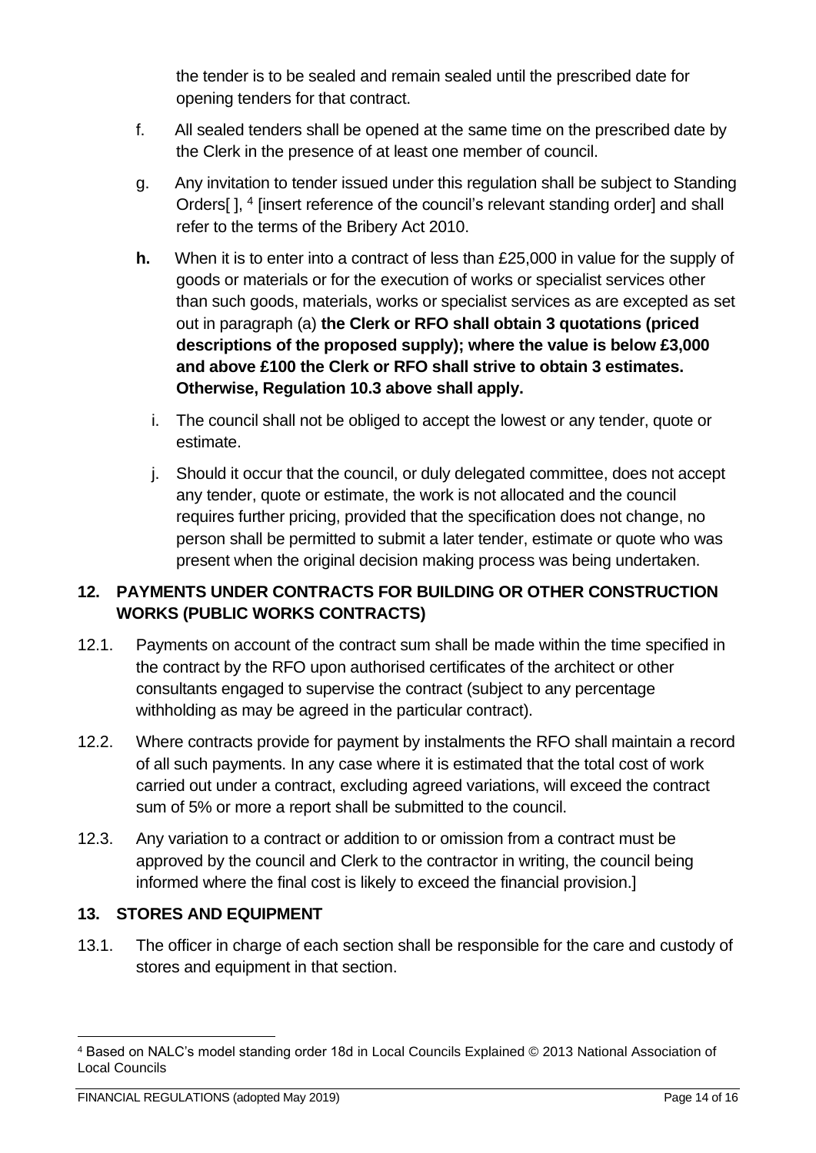the tender is to be sealed and remain sealed until the prescribed date for opening tenders for that contract.

- f. All sealed tenders shall be opened at the same time on the prescribed date by the Clerk in the presence of at least one member of council.
- g. Any invitation to tender issued under this regulation shall be subject to Standing Orders[ ], 4 [insert reference of the council's relevant standing order] and shall refer to the terms of the Bribery Act 2010.
- **h.** When it is to enter into a contract of less than £25,000 in value for the supply of goods or materials or for the execution of works or specialist services other than such goods, materials, works or specialist services as are excepted as set out in paragraph (a) **the Clerk or RFO shall obtain 3 quotations (priced descriptions of the proposed supply); where the value is below £3,000 and above £100 the Clerk or RFO shall strive to obtain 3 estimates. Otherwise, Regulation 10.3 above shall apply.**
	- i. The council shall not be obliged to accept the lowest or any tender, quote or estimate.
	- j. Should it occur that the council, or duly delegated committee, does not accept any tender, quote or estimate, the work is not allocated and the council requires further pricing, provided that the specification does not change, no person shall be permitted to submit a later tender, estimate or quote who was present when the original decision making process was being undertaken.

# <span id="page-13-0"></span>**12. PAYMENTS UNDER CONTRACTS FOR BUILDING OR OTHER CONSTRUCTION WORKS (PUBLIC WORKS CONTRACTS)**

- 12.1. Payments on account of the contract sum shall be made within the time specified in the contract by the RFO upon authorised certificates of the architect or other consultants engaged to supervise the contract (subject to any percentage withholding as may be agreed in the particular contract).
- 12.2. Where contracts provide for payment by instalments the RFO shall maintain a record of all such payments. In any case where it is estimated that the total cost of work carried out under a contract, excluding agreed variations, will exceed the contract sum of 5% or more a report shall be submitted to the council.
- 12.3. Any variation to a contract or addition to or omission from a contract must be approved by the council and Clerk to the contractor in writing, the council being informed where the final cost is likely to exceed the financial provision.]

## <span id="page-13-1"></span>**13. STORES AND EQUIPMENT**

13.1. The officer in charge of each section shall be responsible for the care and custody of stores and equipment in that section.

<sup>4</sup> Based on NALC's model standing order 18d in Local Councils Explained © 2013 National Association of Local Councils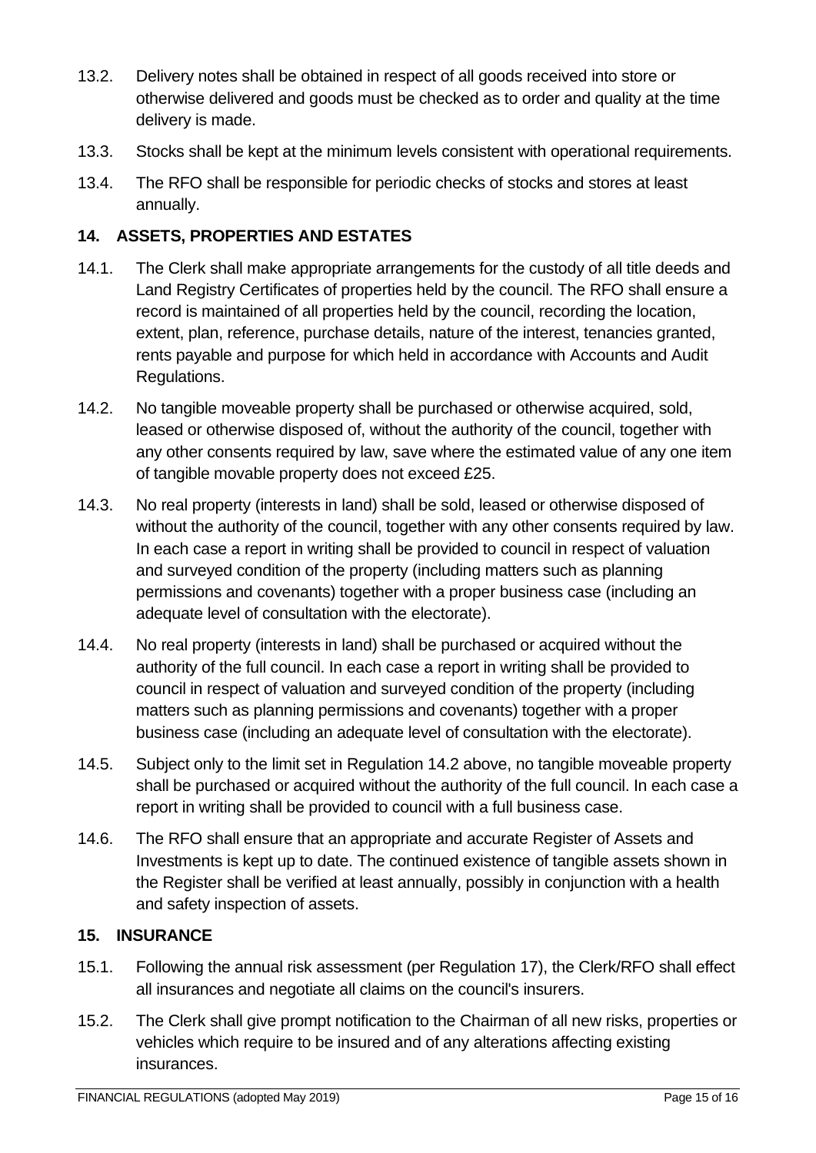- 13.2. Delivery notes shall be obtained in respect of all goods received into store or otherwise delivered and goods must be checked as to order and quality at the time delivery is made.
- 13.3. Stocks shall be kept at the minimum levels consistent with operational requirements.
- 13.4. The RFO shall be responsible for periodic checks of stocks and stores at least annually.

## <span id="page-14-0"></span>**14. ASSETS, PROPERTIES AND ESTATES**

- 14.1. The Clerk shall make appropriate arrangements for the custody of all title deeds and Land Registry Certificates of properties held by the council. The RFO shall ensure a record is maintained of all properties held by the council, recording the location, extent, plan, reference, purchase details, nature of the interest, tenancies granted, rents payable and purpose for which held in accordance with Accounts and Audit Regulations.
- 14.2. No tangible moveable property shall be purchased or otherwise acquired, sold, leased or otherwise disposed of, without the authority of the council, together with any other consents required by law, save where the estimated value of any one item of tangible movable property does not exceed £25.
- 14.3. No real property (interests in land) shall be sold, leased or otherwise disposed of without the authority of the council, together with any other consents required by law. In each case a report in writing shall be provided to council in respect of valuation and surveyed condition of the property (including matters such as planning permissions and covenants) together with a proper business case (including an adequate level of consultation with the electorate).
- 14.4. No real property (interests in land) shall be purchased or acquired without the authority of the full council. In each case a report in writing shall be provided to council in respect of valuation and surveyed condition of the property (including matters such as planning permissions and covenants) together with a proper business case (including an adequate level of consultation with the electorate).
- 14.5. Subject only to the limit set in Regulation 14.2 above, no tangible moveable property shall be purchased or acquired without the authority of the full council. In each case a report in writing shall be provided to council with a full business case.
- 14.6. The RFO shall ensure that an appropriate and accurate Register of Assets and Investments is kept up to date. The continued existence of tangible assets shown in the Register shall be verified at least annually, possibly in conjunction with a health and safety inspection of assets.

## <span id="page-14-1"></span>**15. INSURANCE**

- 15.1. Following the annual risk assessment (per Regulation 17), the Clerk/RFO shall effect all insurances and negotiate all claims on the council's insurers.
- 15.2. The Clerk shall give prompt notification to the Chairman of all new risks, properties or vehicles which require to be insured and of any alterations affecting existing insurances.